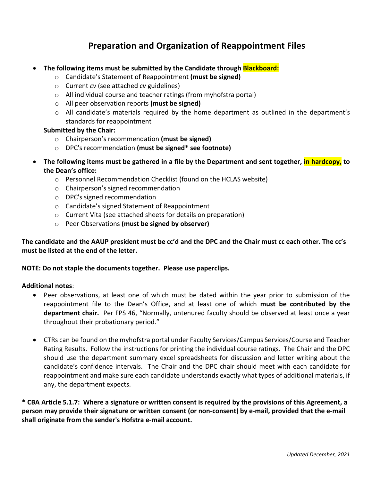## **Preparation and Organization of Reappointment Files**

- **The following items must be submitted by the Candidate through Blackboard:**
	- o Candidate's Statement of Reappointment **(must be signed)**
	- o Current *cv* (see attached *cv* guidelines)
	- o All individual course and teacher ratings (from myhofstra portal)
	- o All peer observation reports **(must be signed)**
	- $\circ$  All candidate's materials required by the home department as outlined in the department's standards for reappointment

## **Submitted by the Chair:**

- o Chairperson's recommendation **(must be signed)**
- o DPC's recommendation **(must be signed\* see footnote)**
- **The following items must be gathered in a file by the Department and sent together, in hardcopy, to the Dean's office:**
	- o Personnel Recommendation Checklist (found on the HCLAS website)
	- o Chairperson's signed recommendation
	- o DPC's signed recommendation
	- o Candidate's signed Statement of Reappointment
	- o Current Vita (see attached sheets for details on preparation)
	- o Peer Observations **(must be signed by observer)**

**The candidate and the AAUP president must be cc'd and the DPC and the Chair must cc each other. The cc's must be listed at the end of the letter.**

## **NOTE: Do not staple the documents together. Please use paperclips.**

## **Additional notes**:

- Peer observations, at least one of which must be dated within the year prior to submission of the reappointment file to the Dean's Office, and at least one of which **must be contributed by the department chair.** Per FPS 46, "Normally, untenured faculty should be observed at least once a year throughout their probationary period."
- CTRs can be found on the myhofstra portal under Faculty Services/Campus Services/Course and Teacher Rating Results. Follow the instructions for printing the individual course ratings. The Chair and the DPC should use the department summary excel spreadsheets for discussion and letter writing about the candidate's confidence intervals. The Chair and the DPC chair should meet with each candidate for reappointment and make sure each candidate understands exactly what types of additional materials, if any, the department expects.

**\* CBA Article 5.1.7: Where a signature or written consent is required by the provisions of this Agreement, a person may provide their signature or written consent (or non-consent) by e-mail, provided that the e-mail shall originate from the sender's Hofstra e-mail account.**